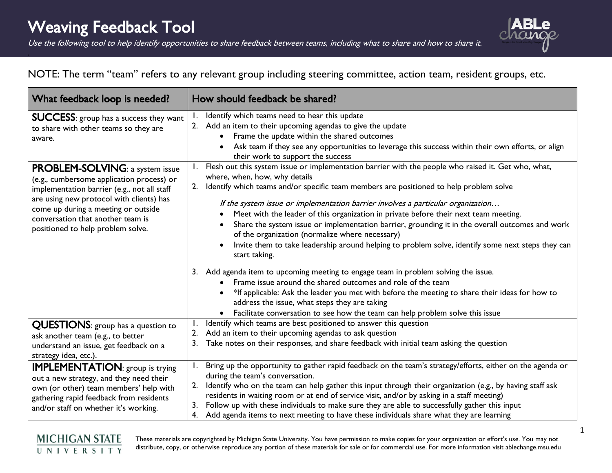.

Use the following tool to help identify opportunities to share feedback between teams, including what to share and how to share it.



## NOTE: The term "team" refers to any relevant group including steering committee, action team, resident groups, etc.

| What feedback loop is needed?                                                                                                                                                                                                                                                                   | How should feedback be shared?                                                                                                                                                                                                                                                                                                                                                                                                                                                                                                                                                                                                                                                                                                                                                                             |
|-------------------------------------------------------------------------------------------------------------------------------------------------------------------------------------------------------------------------------------------------------------------------------------------------|------------------------------------------------------------------------------------------------------------------------------------------------------------------------------------------------------------------------------------------------------------------------------------------------------------------------------------------------------------------------------------------------------------------------------------------------------------------------------------------------------------------------------------------------------------------------------------------------------------------------------------------------------------------------------------------------------------------------------------------------------------------------------------------------------------|
| <b>SUCCESS:</b> group has a success they want<br>to share with other teams so they are<br>aware.                                                                                                                                                                                                | Identify which teams need to hear this update<br>2. Add an item to their upcoming agendas to give the update<br>Frame the update within the shared outcomes<br>Ask team if they see any opportunities to leverage this success within their own efforts, or align<br>their work to support the success                                                                                                                                                                                                                                                                                                                                                                                                                                                                                                     |
| <b>PROBLEM-SOLVING: a system issue</b><br>(e.g., cumbersome application process) or<br>implementation barrier (e.g., not all staff<br>are using new protocol with clients) has<br>come up during a meeting or outside<br>conversation that another team is<br>positioned to help problem solve. | 1. Flesh out this system issue or implementation barrier with the people who raised it. Get who, what,<br>where, when, how, why details<br>Identify which teams and/or specific team members are positioned to help problem solve<br>If the system issue or implementation barrier involves a particular organization<br>Meet with the leader of this organization in private before their next team meeting.<br>Share the system issue or implementation barrier, grounding it in the overall outcomes and work<br>$\bullet$<br>of the organization (normalize where necessary)<br>Invite them to take leadership around helping to problem solve, identify some next steps they can<br>$\bullet$<br>start taking.<br>3. Add agenda item to upcoming meeting to engage team in problem solving the issue. |
|                                                                                                                                                                                                                                                                                                 | Frame issue around the shared outcomes and role of the team<br>*If applicable: Ask the leader you met with before the meeting to share their ideas for how to<br>address the issue, what steps they are taking<br>Facilitate conversation to see how the team can help problem solve this issue<br>$\bullet$                                                                                                                                                                                                                                                                                                                                                                                                                                                                                               |
| <b>QUESTIONS:</b> group has a question to<br>ask another team (e.g., to better<br>understand an issue, get feedback on a<br>strategy idea, etc.).                                                                                                                                               | Identify which teams are best positioned to answer this question<br>2. Add an item to their upcoming agendas to ask question<br>Take notes on their responses, and share feedback with initial team asking the question                                                                                                                                                                                                                                                                                                                                                                                                                                                                                                                                                                                    |
| <b>IMPLEMENTATION:</b> group is trying<br>out a new strategy, and they need their<br>own (or other) team members' help with<br>gathering rapid feedback from residents<br>and/or staff on whether it's working.                                                                                 | Bring up the opportunity to gather rapid feedback on the team's strategy/efforts, either on the agenda or<br>during the team's conversation.<br>Identify who on the team can help gather this input through their organization (e.g., by having staff ask<br>2.<br>residents in waiting room or at end of service visit, and/or by asking in a staff meeting)<br>Follow up with these individuals to make sure they are able to successfully gather this input<br>3.<br>4. Add agenda items to next meeting to have these individuals share what they are learning                                                                                                                                                                                                                                         |

These materials are copyrighted by Michigan State University. You have permission to make copies for your organization or effort's use. You may not distribute, copy, or otherwise reproduce any portion of these materials for sale or for commercial use. For more information visit ablechange.msu.edu